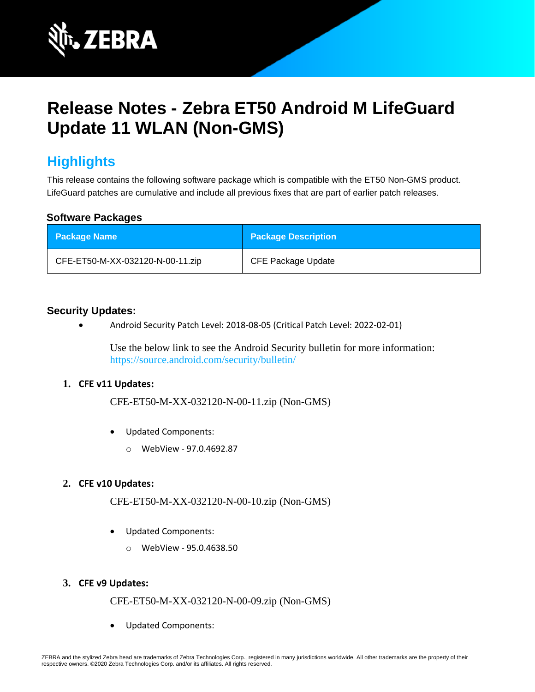

# **Release Notes - Zebra ET50 Android M LifeGuard Update 11 WLAN (Non-GMS)**

## **Highlights**

This release contains the following software package which is compatible with the ET50 Non-GMS product. LifeGuard patches are cumulative and include all previous fixes that are part of earlier patch releases.

#### **Software Packages**

| <b>Package Name</b>              | <b>Package Description</b> |
|----------------------------------|----------------------------|
| CFE-ET50-M-XX-032120-N-00-11.zip | <b>CFE Package Update</b>  |

#### **Security Updates:**

• Android Security Patch Level: 2018-08-05 (Critical Patch Level: 2022-02-01)

Use the below link to see the Android Security bulletin for more information: <https://source.android.com/security/bulletin/>

#### **1. CFE v11 Updates:**

CFE-ET50-M-XX-032120-N-00-11.zip (Non-GMS)

- Updated Components:
	- o WebView 97.0.4692.87

#### **2. CFE v10 Updates:**

CFE-ET50-M-XX-032120-N-00-10.zip (Non-GMS)

- Updated Components:
	- o WebView 95.0.4638.50

#### **3. CFE v9 Updates:**

CFE-ET50-M-XX-032120-N-00-09.zip (Non-GMS)

• Updated Components: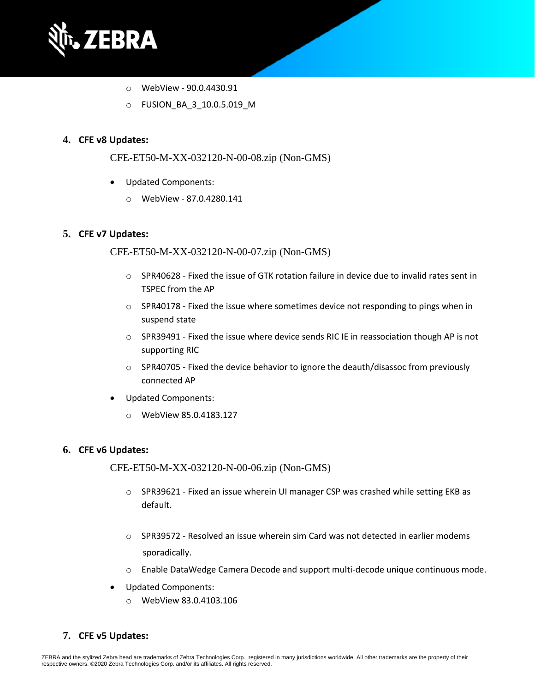

- o WebView 90.0.4430.91
- o FUSION\_BA\_3\_10.0.5.019\_M

#### **4. CFE v8 Updates:**

CFE-ET50-M-XX-032120-N-00-08.zip (Non-GMS)

- Updated Components:
	- o WebView 87.0.4280.141

#### **5. CFE v7 Updates:**

CFE-ET50-M-XX-032120-N-00-07.zip (Non-GMS)

- $\circ$  SPR40628 Fixed the issue of GTK rotation failure in device due to invalid rates sent in TSPEC from the AP
- $\circ$  SPR40178 Fixed the issue where sometimes device not responding to pings when in suspend state
- $\circ$  SPR39491 Fixed the issue where device sends RIC IE in reassociation though AP is not supporting RIC
- $\circ$  SPR40705 Fixed the device behavior to ignore the deauth/disassoc from previously connected AP
- Updated Components:
	- o WebView 85.0.4183.127

#### **6. CFE v6 Updates:**

CFE-ET50-M-XX-032120-N-00-06.zip (Non-GMS)

- $\circ$  SPR39621 Fixed an issue wherein UI manager CSP was crashed while setting EKB as default.
- $\circ$  SPR39572 Resolved an issue wherein sim Card was not detected in earlier modems sporadically.
- $\circ$  Enable DataWedge Camera Decode and support multi-decode unique continuous mode.
- Updated Components:
	- o WebView 83.0.4103.106
- **7. CFE v5 Updates:**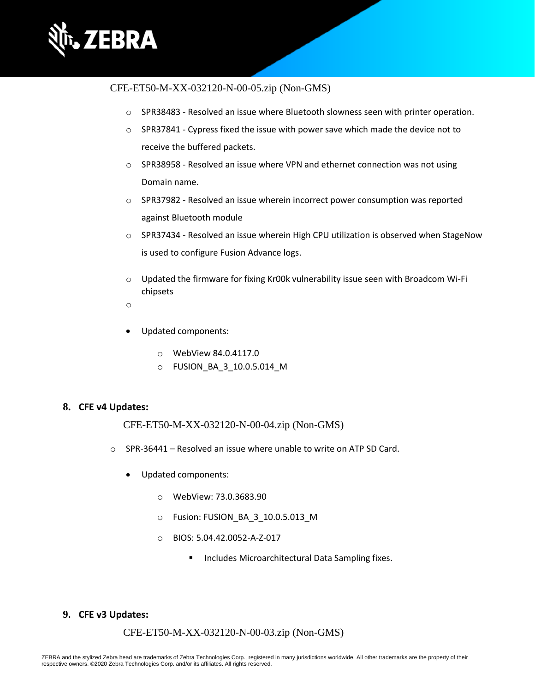

#### CFE-ET50-M-XX-032120-N-00-05.zip (Non-GMS)

- $\circ$  SPR38483 Resolved an issue where Bluetooth slowness seen with printer operation.
- $\circ$  SPR37841 Cypress fixed the issue with power save which made the device not to receive the buffered packets.
- $\circ$  SPR38958 Resolved an issue where VPN and ethernet connection was not using Domain name.
- o SPR37982 Resolved an issue wherein incorrect power consumption was reported against Bluetooth module
- o SPR37434 Resolved an issue wherein High CPU utilization is observed when StageNow is used to configure Fusion Advance logs.
- $\circ$  Updated the firmware for fixing Kr00k vulnerability issue seen with Broadcom Wi-Fi chipsets
- o
- Updated components:
	- o WebView 84.0.4117.0
	- o FUSION\_BA\_3\_10.0.5.014\_M

#### **8. CFE v4 Updates:**

CFE-ET50-M-XX-032120-N-00-04.zip (Non-GMS)

- o SPR-36441 Resolved an issue where unable to write on ATP SD Card.
	- Updated components:
		- o WebView: 73.0.3683.90
		- o Fusion: FUSION\_BA\_3\_10.0.5.013\_M
		- o BIOS: 5.04.42.0052-A-Z-017
			- Includes Microarchitectural Data Sampling fixes.

#### **9. CFE v3 Updates:**

#### CFE-ET50-M-XX-032120-N-00-03.zip (Non-GMS)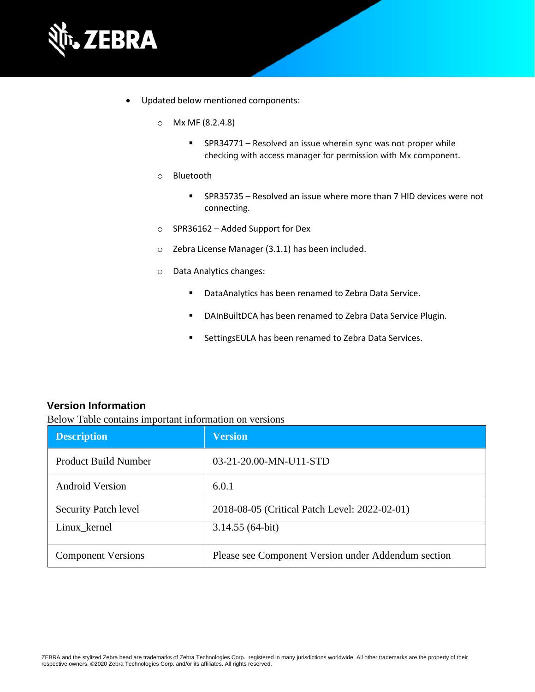

- Updated below mentioned components:
	- o Mx MF (8.2.4.8)
		- SPR34771 Resolved an issue wherein sync was not proper while checking with access manager for permission with Mx component.
	- o Bluetooth
		- SPR35735 Resolved an issue where more than 7 HID devices were not connecting.
	- o SPR36162 Added Support for Dex
	- o Zebra License Manager (3.1.1) has been included.
	- o Data Analytics changes:
		- DataAnalytics has been renamed to Zebra Data Service.
		- DAInBuiltDCA has been renamed to Zebra Data Service Plugin.
		- SettingsEULA has been renamed to Zebra Data Services.

#### **Version Information**

Below Table contains important information on versions

| <b>Description</b>          | <b>Version</b>                                      |
|-----------------------------|-----------------------------------------------------|
| <b>Product Build Number</b> | 03-21-20.00-MN-U11-STD                              |
| <b>Android Version</b>      | 6.0.1                                               |
| <b>Security Patch level</b> | 2018-08-05 (Critical Patch Level: 2022-02-01)       |
| Linux_kernel                | $3.14.55(64-bit)$                                   |
| <b>Component Versions</b>   | Please see Component Version under Addendum section |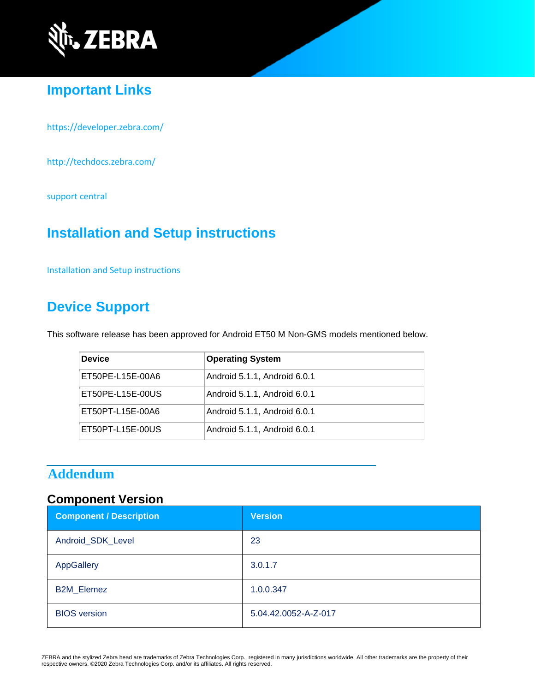

### **Important Links**

<https://developer.zebra.com/>

<http://techdocs.zebra.com/>

[support central](https://www.zebra.com/us/en/support-downloads/software/operating-system/et50-non-gms-operating-system.html)

### **Installation and Setup instructions**

[Installation and Setup instructions](https://www.zebra.com/content/dam/zebra_new_ia/en-us/software/operating-system/ET5X%20Operating%20System/ET50-M-Non-GMS-OS-UPDATE-INSTRUCTIONS.pdf)

### **Device Support**

This software release has been approved for Android ET50 M Non-GMS models mentioned below.

| <b>Device</b>    | <b>Operating System</b>      |
|------------------|------------------------------|
| ET50PE-L15E-00A6 | Android 5.1.1, Android 6.0.1 |
| ET50PE-L15E-00US | Android 5.1.1, Android 6.0.1 |
| ET50PT-L15E-00A6 | Android 5.1.1, Android 6.0.1 |
| ET50PT-L15E-00US | Android 5.1.1, Android 6.0.1 |

### **Addendum**

### **Component Version**

| <b>Component / Description</b> | <b>Version</b>       |
|--------------------------------|----------------------|
| Android_SDK_Level              | 23                   |
| AppGallery                     | 3.0.1.7              |
| <b>B2M_Elemez</b>              | 1.0.0.347            |
| <b>BIOS</b> version            | 5.04.42.0052-A-Z-017 |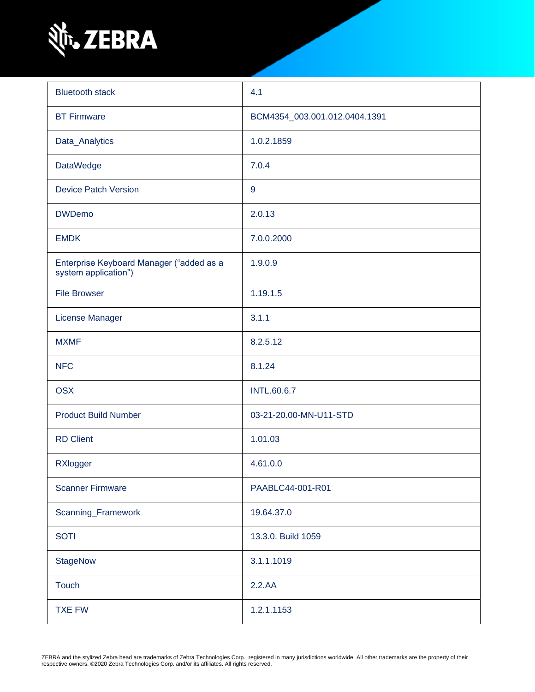

| <b>Bluetooth stack</b>                                           | 4.1                           |  |
|------------------------------------------------------------------|-------------------------------|--|
| <b>BT Firmware</b>                                               | BCM4354_003.001.012.0404.1391 |  |
| Data_Analytics                                                   | 1.0.2.1859                    |  |
| <b>DataWedge</b>                                                 | 7.0.4                         |  |
| <b>Device Patch Version</b>                                      | 9                             |  |
| <b>DWDemo</b>                                                    | 2.0.13                        |  |
| <b>EMDK</b>                                                      | 7.0.0.2000                    |  |
| Enterprise Keyboard Manager ("added as a<br>system application") | 1.9.0.9                       |  |
| <b>File Browser</b>                                              | 1.19.1.5                      |  |
| License Manager                                                  | 3.1.1                         |  |
| <b>MXMF</b>                                                      | 8.2.5.12                      |  |
| <b>NFC</b>                                                       | 8.1.24                        |  |
| <b>OSX</b>                                                       | <b>INTL.60.6.7</b>            |  |
| <b>Product Build Number</b>                                      | 03-21-20.00-MN-U11-STD        |  |
| <b>RD Client</b>                                                 | 1.01.03                       |  |
| RXlogger                                                         | 4.61.0.0                      |  |
| <b>Scanner Firmware</b>                                          | PAABLC44-001-R01              |  |
| Scanning_Framework                                               | 19.64.37.0                    |  |
| <b>SOTI</b>                                                      | 13.3.0. Build 1059            |  |
| <b>StageNow</b>                                                  | 3.1.1.1019                    |  |
| <b>Touch</b>                                                     | 2.2.AA                        |  |
| <b>TXE FW</b>                                                    | 1.2.1.1153                    |  |